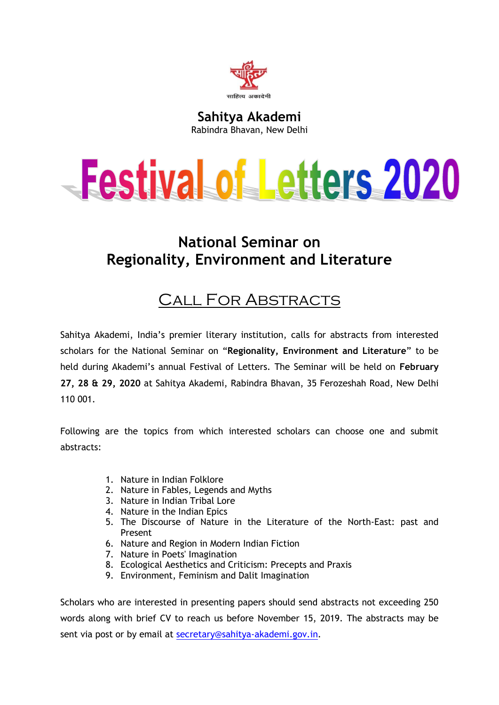

**Sahitya Akademi** Rabindra Bhavan, New Delhi

## Festival of Letters 2020

## **National Seminar on Regionality, Environment and Literature**

## Call For Abstracts

Sahitya Akademi, India's premier literary institution, calls for abstracts from interested scholars for the National Seminar on "**Regionality, Environment and Literature**" to be held during Akademi's annual Festival of Letters. The Seminar will be held on **February 27, 28 & 29, 2020** at Sahitya Akademi, Rabindra Bhavan, 35 Ferozeshah Road, New Delhi 110 001.

Following are the topics from which interested scholars can choose one and submit abstracts:

- 1. Nature in Indian Folklore
- 2. Nature in Fables, Legends and Myths
- 3. Nature in Indian Tribal Lore
- 4. Nature in the Indian Epics
- 5. The Discourse of Nature in the Literature of the North-East: past and Present
- 6. Nature and Region in Modern Indian Fiction
- 7. Nature in Poets' Imagination
- 8. Ecological Aesthetics and Criticism: Precepts and Praxis
- 9. Environment, Feminism and Dalit Imagination

Scholars who are interested in presenting papers should send abstracts not exceeding 250 words along with brief CV to reach us before November 15, 2019. The abstracts may be sent via post or by email at [secretary@sahitya-akademi.gov.in.](mailto:secretary@sahitya-akademi.gov.in)